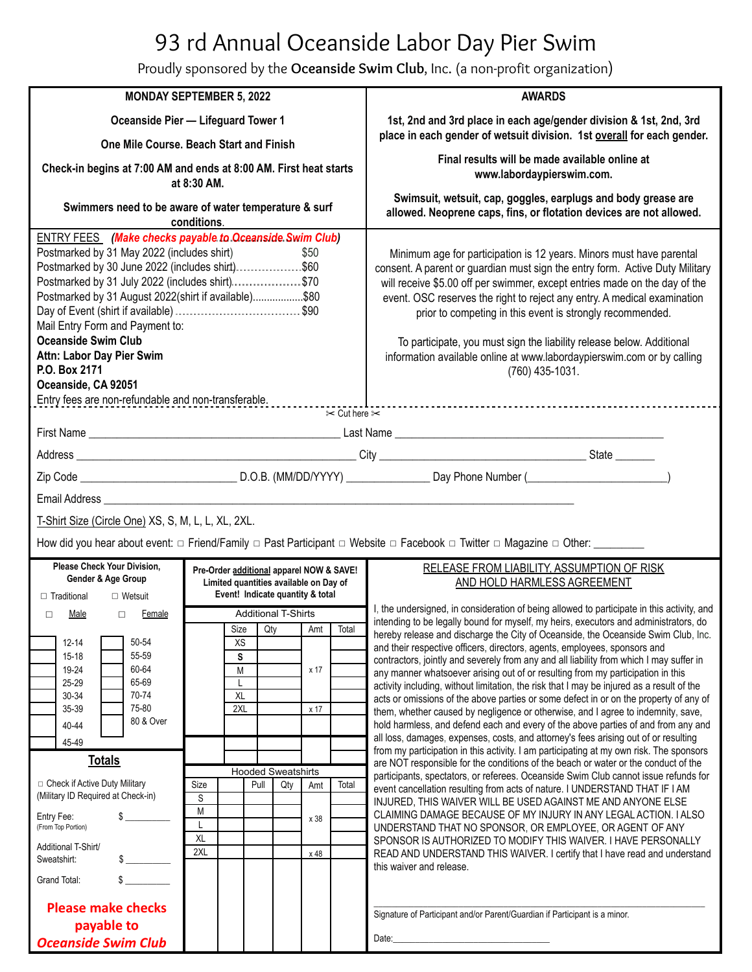## 93 rd Annual Oceanside Labor Day Pier Swim

Proudly sponsored by the **Oceanside Swim Club**, Inc. (a non-profit organization)

| <b>MONDAY SEPTEMBER 5, 2022</b>                                                                                                                                                                                                                                                                                                                                                                                                                              |                                                                                    |                           |                                  |                     |                                                                                                                                                                                                                                                                                                                                                                                                                                                                                                                                                     | <b>AWARDS</b>                                                                                                                                                                                                                                                                                                                                                                                                                                                                                                                                                                                                                                                                                                                                                                                      |
|--------------------------------------------------------------------------------------------------------------------------------------------------------------------------------------------------------------------------------------------------------------------------------------------------------------------------------------------------------------------------------------------------------------------------------------------------------------|------------------------------------------------------------------------------------|---------------------------|----------------------------------|---------------------|-----------------------------------------------------------------------------------------------------------------------------------------------------------------------------------------------------------------------------------------------------------------------------------------------------------------------------------------------------------------------------------------------------------------------------------------------------------------------------------------------------------------------------------------------------|----------------------------------------------------------------------------------------------------------------------------------------------------------------------------------------------------------------------------------------------------------------------------------------------------------------------------------------------------------------------------------------------------------------------------------------------------------------------------------------------------------------------------------------------------------------------------------------------------------------------------------------------------------------------------------------------------------------------------------------------------------------------------------------------------|
| Oceanside Pier - Lifeguard Tower 1                                                                                                                                                                                                                                                                                                                                                                                                                           |                                                                                    |                           |                                  |                     | 1st, 2nd and 3rd place in each age/gender division & 1st, 2nd, 3rd<br>place in each gender of wetsuit division. 1st overall for each gender.                                                                                                                                                                                                                                                                                                                                                                                                        |                                                                                                                                                                                                                                                                                                                                                                                                                                                                                                                                                                                                                                                                                                                                                                                                    |
| One Mile Course. Beach Start and Finish                                                                                                                                                                                                                                                                                                                                                                                                                      |                                                                                    |                           |                                  |                     |                                                                                                                                                                                                                                                                                                                                                                                                                                                                                                                                                     |                                                                                                                                                                                                                                                                                                                                                                                                                                                                                                                                                                                                                                                                                                                                                                                                    |
| Check-in begins at 7:00 AM and ends at 8:00 AM. First heat starts<br>at 8:30 AM.                                                                                                                                                                                                                                                                                                                                                                             |                                                                                    |                           |                                  |                     | Final results will be made available online at<br>www.labordaypierswim.com.                                                                                                                                                                                                                                                                                                                                                                                                                                                                         |                                                                                                                                                                                                                                                                                                                                                                                                                                                                                                                                                                                                                                                                                                                                                                                                    |
| Swimmers need to be aware of water temperature & surf<br>conditions.                                                                                                                                                                                                                                                                                                                                                                                         |                                                                                    |                           |                                  |                     | Swimsuit, wetsuit, cap, goggles, earplugs and body grease are<br>allowed. Neoprene caps, fins, or flotation devices are not allowed.                                                                                                                                                                                                                                                                                                                                                                                                                |                                                                                                                                                                                                                                                                                                                                                                                                                                                                                                                                                                                                                                                                                                                                                                                                    |
| <b>ENTRY FEES</b> (Make checks payable to Oceanside Swim Club)<br>Postmarked by 31 May 2022 (includes shirt)<br>\$50<br>Postmarked by 31 July 2022 (includes shirt)\$70<br>Postmarked by 31 August 2022(shirt if available)\$80<br>Mail Entry Form and Payment to:<br><b>Oceanside Swim Club</b><br>Attn: Labor Day Pier Swim<br>P.O. Box 2171<br>Oceanside, CA 92051<br>Entry fees are non-refundable and non-transferable.<br>$\approx$ Cut here $\approx$ |                                                                                    |                           |                                  |                     | Minimum age for participation is 12 years. Minors must have parental<br>consent. A parent or guardian must sign the entry form. Active Duty Military<br>will receive \$5.00 off per swimmer, except entries made on the day of the<br>event. OSC reserves the right to reject any entry. A medical examination<br>prior to competing in this event is strongly recommended.<br>To participate, you must sign the liability release below. Additional<br>information available online at www.labordaypierswim.com or by calling<br>$(760)$ 435-1031. |                                                                                                                                                                                                                                                                                                                                                                                                                                                                                                                                                                                                                                                                                                                                                                                                    |
|                                                                                                                                                                                                                                                                                                                                                                                                                                                              |                                                                                    |                           |                                  |                     |                                                                                                                                                                                                                                                                                                                                                                                                                                                                                                                                                     |                                                                                                                                                                                                                                                                                                                                                                                                                                                                                                                                                                                                                                                                                                                                                                                                    |
|                                                                                                                                                                                                                                                                                                                                                                                                                                                              |                                                                                    |                           |                                  |                     |                                                                                                                                                                                                                                                                                                                                                                                                                                                                                                                                                     |                                                                                                                                                                                                                                                                                                                                                                                                                                                                                                                                                                                                                                                                                                                                                                                                    |
|                                                                                                                                                                                                                                                                                                                                                                                                                                                              |                                                                                    |                           |                                  |                     |                                                                                                                                                                                                                                                                                                                                                                                                                                                                                                                                                     |                                                                                                                                                                                                                                                                                                                                                                                                                                                                                                                                                                                                                                                                                                                                                                                                    |
| Email Address <b>Email Address</b>                                                                                                                                                                                                                                                                                                                                                                                                                           |                                                                                    |                           |                                  |                     |                                                                                                                                                                                                                                                                                                                                                                                                                                                                                                                                                     |                                                                                                                                                                                                                                                                                                                                                                                                                                                                                                                                                                                                                                                                                                                                                                                                    |
| T-Shirt Size (Circle One) XS, S, M, L, L, XL, 2XL.                                                                                                                                                                                                                                                                                                                                                                                                           |                                                                                    |                           |                                  |                     |                                                                                                                                                                                                                                                                                                                                                                                                                                                                                                                                                     |                                                                                                                                                                                                                                                                                                                                                                                                                                                                                                                                                                                                                                                                                                                                                                                                    |
| How did you hear about event: □ Friend/Family □ Past Participant □ Website □ Facebook □ Twitter □ Magazine □ Other: ________                                                                                                                                                                                                                                                                                                                                 |                                                                                    |                           |                                  |                     |                                                                                                                                                                                                                                                                                                                                                                                                                                                                                                                                                     |                                                                                                                                                                                                                                                                                                                                                                                                                                                                                                                                                                                                                                                                                                                                                                                                    |
| <b>Please Check Your Division.</b><br>Gender & Age Group                                                                                                                                                                                                                                                                                                                                                                                                     | Pre-Order additional apparel NOW & SAVE!<br>Limited quantities available on Day of |                           |                                  |                     |                                                                                                                                                                                                                                                                                                                                                                                                                                                                                                                                                     | RELEASE FROM LIABILITY, ASSUMPTION OF RISK<br>AND HOLD HARMLESS AGREEMENT                                                                                                                                                                                                                                                                                                                                                                                                                                                                                                                                                                                                                                                                                                                          |
| $\Box$ Traditional<br>$\Box$ Wetsuit                                                                                                                                                                                                                                                                                                                                                                                                                         | Event! Indicate quantity & total<br><b>Additional T-Shirts</b>                     |                           |                                  |                     |                                                                                                                                                                                                                                                                                                                                                                                                                                                                                                                                                     | I, the undersigned, in consideration of being allowed to participate in this activity, and                                                                                                                                                                                                                                                                                                                                                                                                                                                                                                                                                                                                                                                                                                         |
| Male<br><b>Female</b><br>$\Box$<br>$\Box$                                                                                                                                                                                                                                                                                                                                                                                                                    |                                                                                    | Size                      | <b>Qty</b>                       | Amt   Total         |                                                                                                                                                                                                                                                                                                                                                                                                                                                                                                                                                     | intending to be legally bound for myself, my heirs, executors and administrators, do                                                                                                                                                                                                                                                                                                                                                                                                                                                                                                                                                                                                                                                                                                               |
| 50-54<br>$12 - 14$<br>55-59<br>$15 - 18$<br>60-64<br>19-24<br>65-69<br>25-29<br>70-74<br>30-34<br>75-80<br>35-39<br>80 & Over<br>40-44<br>45-49                                                                                                                                                                                                                                                                                                              |                                                                                    | XS<br>S<br>M<br>XL<br>2XL |                                  | x 17<br>x 17        |                                                                                                                                                                                                                                                                                                                                                                                                                                                                                                                                                     | hereby release and discharge the City of Oceanside, the Oceanside Swim Club, Inc.<br>and their respective officers, directors, agents, employees, sponsors and<br>contractors, jointly and severely from any and all liability from which I may suffer in<br>any manner whatsoever arising out of or resulting from my participation in this<br>activity including, without limitation, the risk that I may be injured as a result of the<br>acts or omissions of the above parties or some defect in or on the property of any of<br>them, whether caused by negligence or otherwise, and I agree to indemnity, save,<br>hold harmless, and defend each and every of the above parties of and from any and<br>all loss, damages, expenses, costs, and attorney's fees arising out of or resulting |
| <b>Totals</b>                                                                                                                                                                                                                                                                                                                                                                                                                                                |                                                                                    |                           |                                  |                     |                                                                                                                                                                                                                                                                                                                                                                                                                                                                                                                                                     | from my participation in this activity. I am participating at my own risk. The sponsors<br>are NOT responsible for the conditions of the beach or water or the conduct of the                                                                                                                                                                                                                                                                                                                                                                                                                                                                                                                                                                                                                      |
| □ Check if Active Duty Military<br>(Military ID Required at Check-in)<br>Entry Fee:<br>(From Top Portion)<br>Additional T-Shirt/<br>Sweatshirt:                                                                                                                                                                                                                                                                                                              | Size<br>S<br>M<br>L<br>XL<br>2XL                                                   | Pull                      | <b>Hooded Sweatshirts</b><br>Qty | Amt<br>x 38<br>x 48 | Total                                                                                                                                                                                                                                                                                                                                                                                                                                                                                                                                               | participants, spectators, or referees. Oceanside Swim Club cannot issue refunds for<br>event cancellation resulting from acts of nature. I UNDERSTAND THAT IF I AM<br>INJURED, THIS WAIVER WILL BE USED AGAINST ME AND ANYONE ELSE<br>CLAIMING DAMAGE BECAUSE OF MY INJURY IN ANY LEGAL ACTION. I ALSO<br>UNDERSTAND THAT NO SPONSOR, OR EMPLOYEE, OR AGENT OF ANY<br>SPONSOR IS AUTHORIZED TO MODIFY THIS WAIVER. I HAVE PERSONALLY<br>READ AND UNDERSTAND THIS WAIVER. I certify that I have read and understand<br>this waiver and release.                                                                                                                                                                                                                                                     |
| Grand Total:<br>$\mathbb{S}$<br><b>Please make checks</b><br>payable to<br><b>Oceanside Swim Club</b>                                                                                                                                                                                                                                                                                                                                                        |                                                                                    |                           |                                  |                     |                                                                                                                                                                                                                                                                                                                                                                                                                                                                                                                                                     | Signature of Participant and/or Parent/Guardian if Participant is a minor.                                                                                                                                                                                                                                                                                                                                                                                                                                                                                                                                                                                                                                                                                                                         |